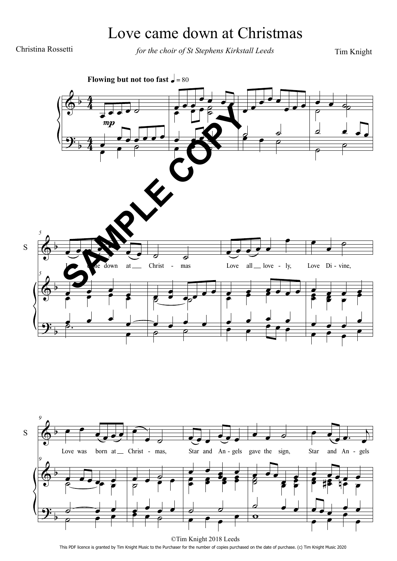## Love came down at Christmas

Christina Rossetti for the choir of St Stephens Kirkstall Leeds

Tim Knight





This PDF licence is granted by Tim Knight Music to the Purchaser for the number of copies purchased on the date of purchase. (c) Tim Knight Music 2020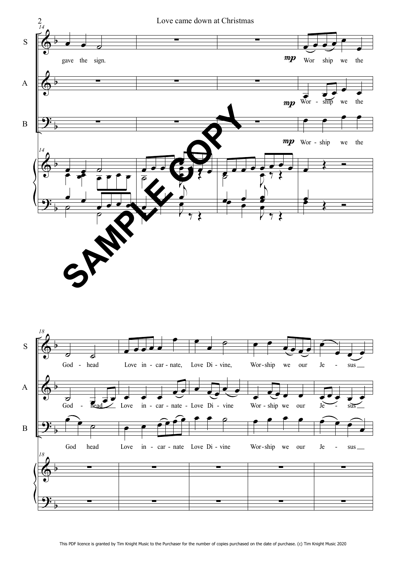

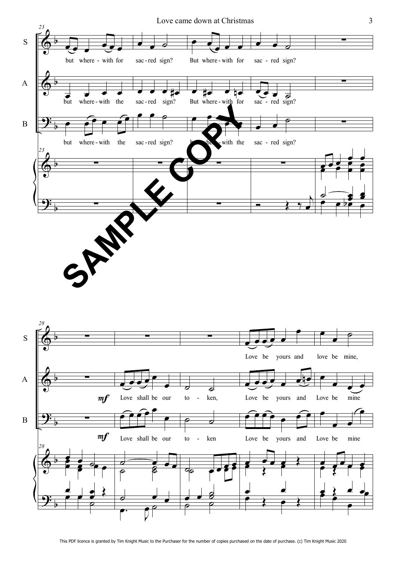